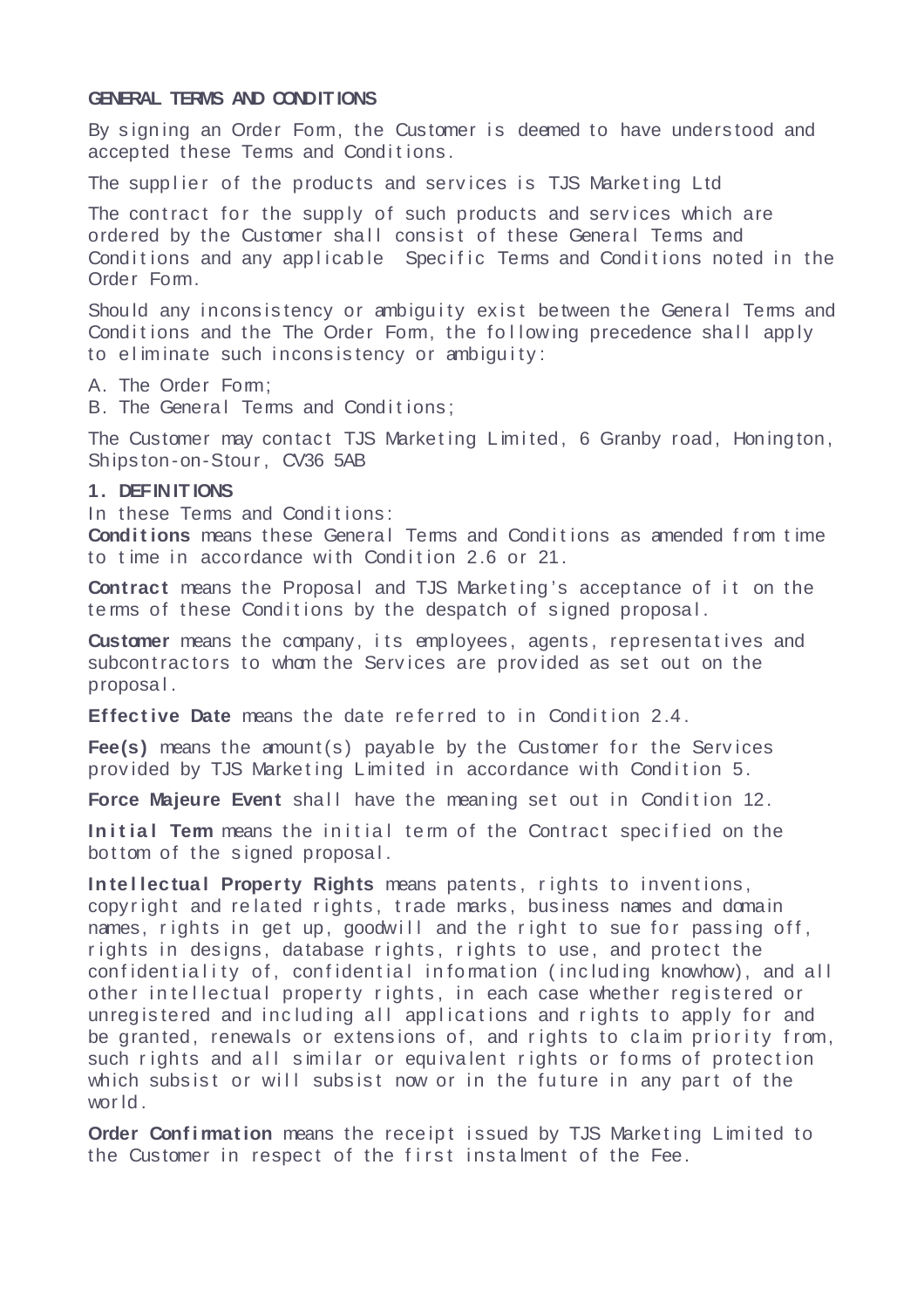### **GENERAL TERMS AND CONDITIONS**

By signing an Order Form, the Customer is deemed to have understood and accepted these Terms and Conditions.

The supplier of the products and services is TJS Marketing Ltd

The contract for the supply of such products and services which are ordered by the Customer shall consist of these General Terms and Conditions and any applicable Specific Terms and Conditions noted in the Order Form.

Should any inconsistency or ambiguity exist between the General Terms and Conditions and the The Order Form, the following precedence shall apply to eliminate such inconsistency or ambiguity:

A. The Order Form:

B. The General Terms and Conditions;

The Customer may contact TJS Marketing Limited, 6 Granby road, Honington, Ships ton-on-Stour , CV36 5AB

### **1. DEFINIT IONS**

In these Terms and Conditions:

**Conditions** means these General Terms and Conditions as amended from time to time in accordance with Condition 2.6 or 21.

**Contract** means the Proposal and TJS Marketing's acceptance of it on the te rms of these Conditions by the despatch of signed proposal.

**Customer** means the company, its employees, agents, representatives and subcontractors to whom the Services are provided as set out on the proposa l .

**Effective Date** means the date referred to in Condition 2.4.

**Fee(s)** means the amount(s) payable by the Customer for the Services provided by TJS Marketing Limited in accordance with Condition 5.

**Force Majeure Event** shall have the meaning set out in Condition 12.

**Initial Term** means the initial term of the Contract specified on the bottom of the signed proposal.

**Intellectual Property Rights** means patents, rights to inventions, copyright and related rights, trade marks, business names and domain names, rights in get up, goodwill and the right to sue for passing off, rights in designs, database rights, rights to use, and protect the confidentiality of, confidential information (including knowhow), and all other in tellectual property rights, in each case whether registered or unregistered and including all applications and rights to apply for and be granted, renewals or extensions of, and rights to claim priority from, such rights and all similar or equivalent rights or forms of protection which subsist or will subsist now or in the future in any part of the wor ld .

**Order Confirmation** means the receipt issued by TJS Marketing Limited to the Customer in respect of the first instalment of the Fee.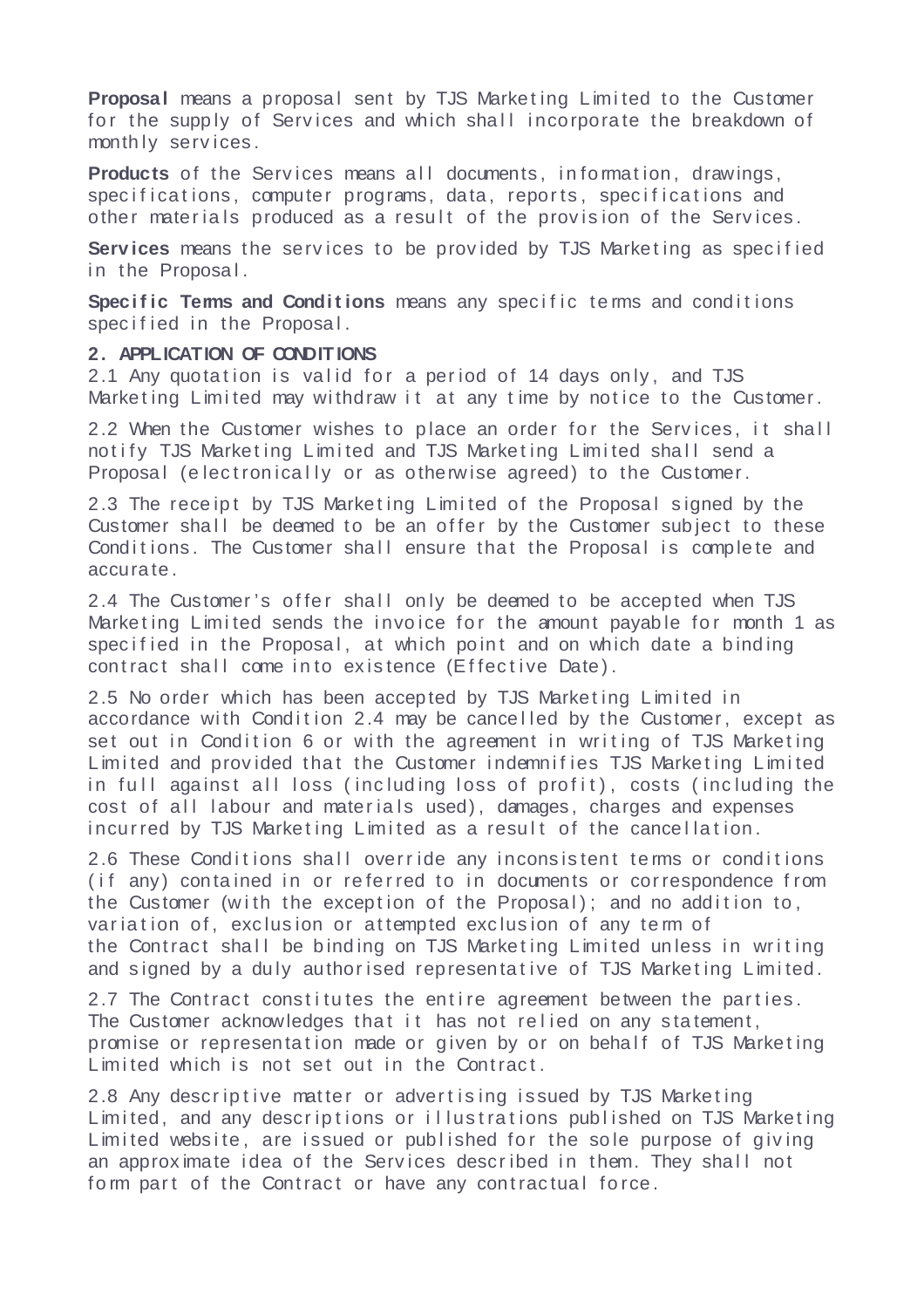**Proposal** means a proposal sent by TJS Marketing Limited to the Customer for the supply of Services and which shall incorporate the breakdown of month ly serv ices .

Products of the Services means all documents, information, drawings, specifications, computer programs, data, reports, specifications and other materials produced as a result of the provision of the Services.

**Services** means the services to be provided by TJS Marketing as specified in the Proposal.

**Specific Terms and Conditions** means any specific terms and conditions specified in the Proposal.

### **2. APPLICATION OF CONDITIONS**

2.1 Any quotation is valid for a period of 14 days only, and TJS Marketing Limited may withdraw it at any time by notice to the Customer.

2.2 When the Customer wishes to place an order for the Services, it shall notify TJS Marketing Limited and TJS Marketing Limited shall send a Proposal (electronically or as otherwise agreed) to the Customer.

2.3 The receipt by TJS Marketing Limited of the Proposal signed by the Customer shall be deemed to be an offer by the Customer subject to these Conditions. The Customer shall ensure that the Proposal is complete and accura te .

2.4 The Customer's offer shall only be deemed to be accepted when TJS Marketing Limited sends the invoice for the amount payable for month 1 as specified in the Proposal, at which point and on which date a binding contract shall come into existence (Effective Date).

2.5 No order which has been accepted by TJS Marketing Limited in accordance with Condition 2.4 may be cancelled by the Customer, except as set out in Condition 6 or with the agreement in writing of TJS Marketing Limited and provided that the Customer indemnifies TJS Marketing Limited in full against all loss (including loss of profit), costs (including the cost of all labour and materials used), damages, charges and expenses incurred by TJS Marketing Limited as a result of the cancellation.

2.6 These Conditions shall override any inconsistent terms or conditions (if any) contained in or referred to in documents or correspondence from the Customer (with the exception of the Proposal); and no addition to, variation of, exclusion or attempted exclusion of any term of the Contract shall be binding on TJS Marketing Limited unless in writing and signed by a duly authorised representative of TJS Marketing Limited.

2.7 The Contract constitutes the entire agreement between the parties. The Customer acknowledges that it has not relied on any statement, promise or representation made or given by or on behalf of TJS Marketing Limited which is not set out in the Contract.

2.8 Any descriptive matter or advertising issued by TJS Marketing Limited, and any descriptions or illustrations published on TJS Marketing Limited website, are issued or published for the sole purpose of giving an approximate idea of the Services described in them. They shall not form part of the Contract or have any contractual force.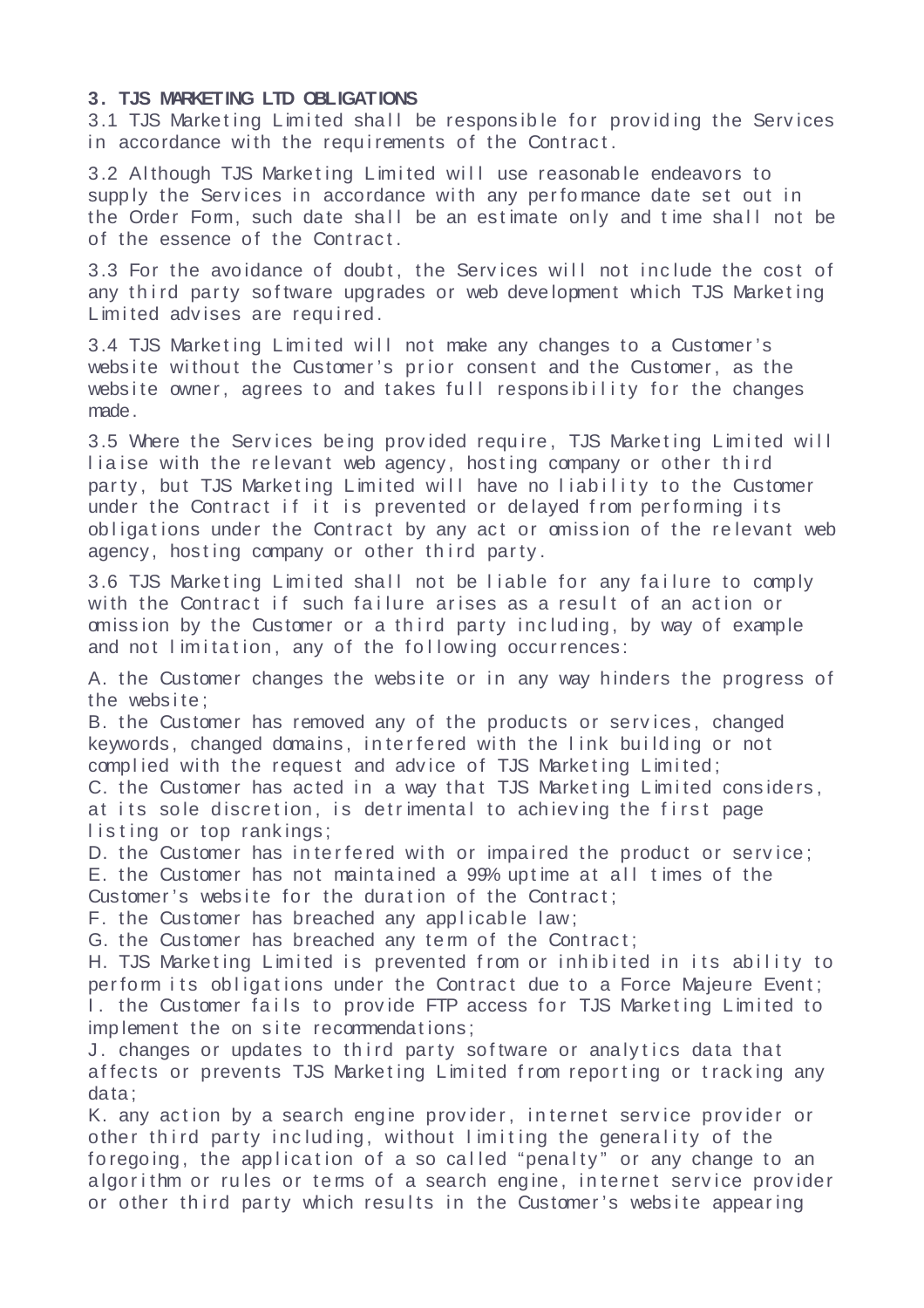# **3. TJS MARKETING LTD OBLIGATIONS**

3.1 TJS Marketing Limited shall be responsible for providing the Services in accordance with the requirements of the Contract.

3.2 Although TJS Marketing Limited will use reasonable endeavors to supply the Services in accordance with any performance date set out in the Order Form, such date shall be an estimate only and time shall not be of the essence of the Contract.

3.3 For the avoidance of doubt, the Services will not include the cost of any third party software upgrades or web development which TJS Marketing Limited advises are required.

3.4 TJS Marketing Limited will not make any changes to a Customer's website without the Customer's prior consent and the Customer, as the website owner, agrees to and takes full responsibility for the changes made.

3.5 Where the Services being provided require, TJS Marketing Limited will liaise with the relevant web agency, hosting company or other third party, but TJS Marketing Limited will have no liability to the Customer under the Contract if it is prevented or delayed from performing its obligations under the Contract by any act or omission of the relevant web agency, hosting company or other third party.

3.6 TJS Marketing Limited shall not be liable for any failure to comply with the Contract if such failure arises as a result of an action or omission by the Customer or a third party including, by way of example and not limitation, any of the following occurrences:

A. the Customer changes the website or in any way hinders the progress of the website:

B. the Customer has removed any of the products or services, changed keywords, changed domains, interfered with the link building or not complied with the request and advice of TJS Marketing Limited;

C. the Customer has acted in a way that TJS Marketing Limited considers, at its sole discretion, is detrimental to achieving the first page listing or top rankings:

D. the Customer has interfered with or impaired the product or service; E. the Customer has not maintained a 99% uptime at all times of the

Customer's website for the duration of the Contract;

F. the Customer has breached any applicable law;

G. the Customer has breached any term of the Contract;

H. TJS Marketing Limited is prevented from or inhibited in its ability to perform its obligations under the Contract due to a Force Majeure Event; I. the Customer fails to provide FTP access for TJS Marketing Limited to imp lement the on site recommendations;

J. changes or updates to third party software or analytics data that affects or prevents TJS Marketing Limited from reporting or tracking any data ;

K. any action by a search engine provider, internet service provider or other third party including, without limiting the generality of the foregoing, the application of a so called "penalty" or any change to an algorithm or rules or terms of a search engine, internet service provider or other third party which results in the Customer's website appearing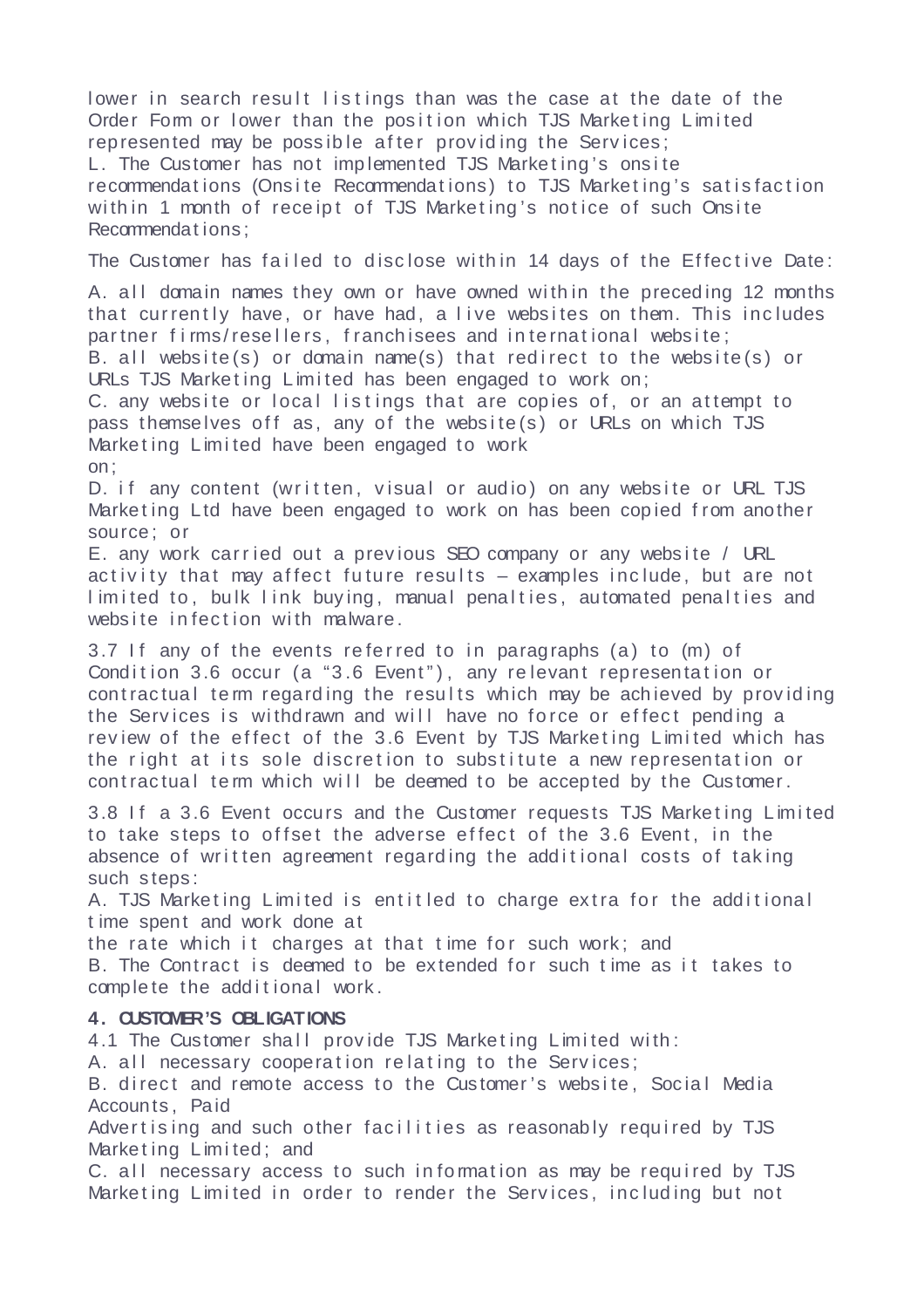lower in search result listings than was the case at the date of the Order Form or lower than the position which TJS Marketing Limited represented may be possible after providing the Services; L. The Customer has not implemented TJS Marketing's onsite recommendations (Onsite Recommendations) to TJS Marketing's satisfaction with in 1 month of receipt of TJS Marketing's notice of such Onsite Recommendat ions ;

The Customer has failed to disclose within 14 days of the Effective Date:

A. all domain names they own or have owned within the preceding 12 months that currently have, or have had, a live websites on them. This includes partner firms/resellers, franchisees and international website; B. all website (s) or domain name (s) that redirect to the website  $(s)$  or URLs TJS Marketing Limited has been engaged to work on; C. any website or local listings that are copies of, or an attempt to pass themselves off as, any of the website  $(s)$  or URLs on which TJS Marketing Limited have been engaged to work on;

D. if any content (written, visual or audio) on any website or URL TJS Marketing Ltd have been engaged to work on has been copied from another source ; or

E. any work carried out a previous SEO company or any website / URL activity that may affect future results  $-$  examples include, but are not limited to, bulk link buying, manual penalties, automated penalties and website infection with malware.

3.7 If any of the events referred to in paragraphs (a) to (m) of Condition 3.6 occur (a "3.6 Event"), any relevant representation or contractual term regarding the results which may be achieved by providing the Services is withdrawn and will have no force or effect pending a review of the effect of the 3.6 Event by TJS Marketing Limited which has the right at its sole discretion to substitute a new representation or contractual term which will be deemed to be accepted by the Customer.

3.8 If a 3.6 Event occurs and the Customer requests TJS Marketing Limited to take steps to offset the adverse effect of the 3.6 Event, in the absence of written agreement regarding the additional costs of taking such steps:

A. TJS Marketing Limited is entitled to charge extra for the additional t ime spent and work done at

the rate which it charges at that time for such work; and

B. The Contract is deemed to be extended for such time as it takes to complete the additional work.

# **4. CUSTOMER'S OBLIGATIONS**

4.1 The Customer shall provide TJS Marketing Limited with:

A. all necessary cooperation relating to the Services:

B. direct and remote access to the Customer's website, Social Media Accounts , Paid

Advertising and such other facilities as reasonably required by TJS Marketing Limited: and

C. all necessary access to such information as may be required by TJS Marketing Limited in order to render the Services, including but not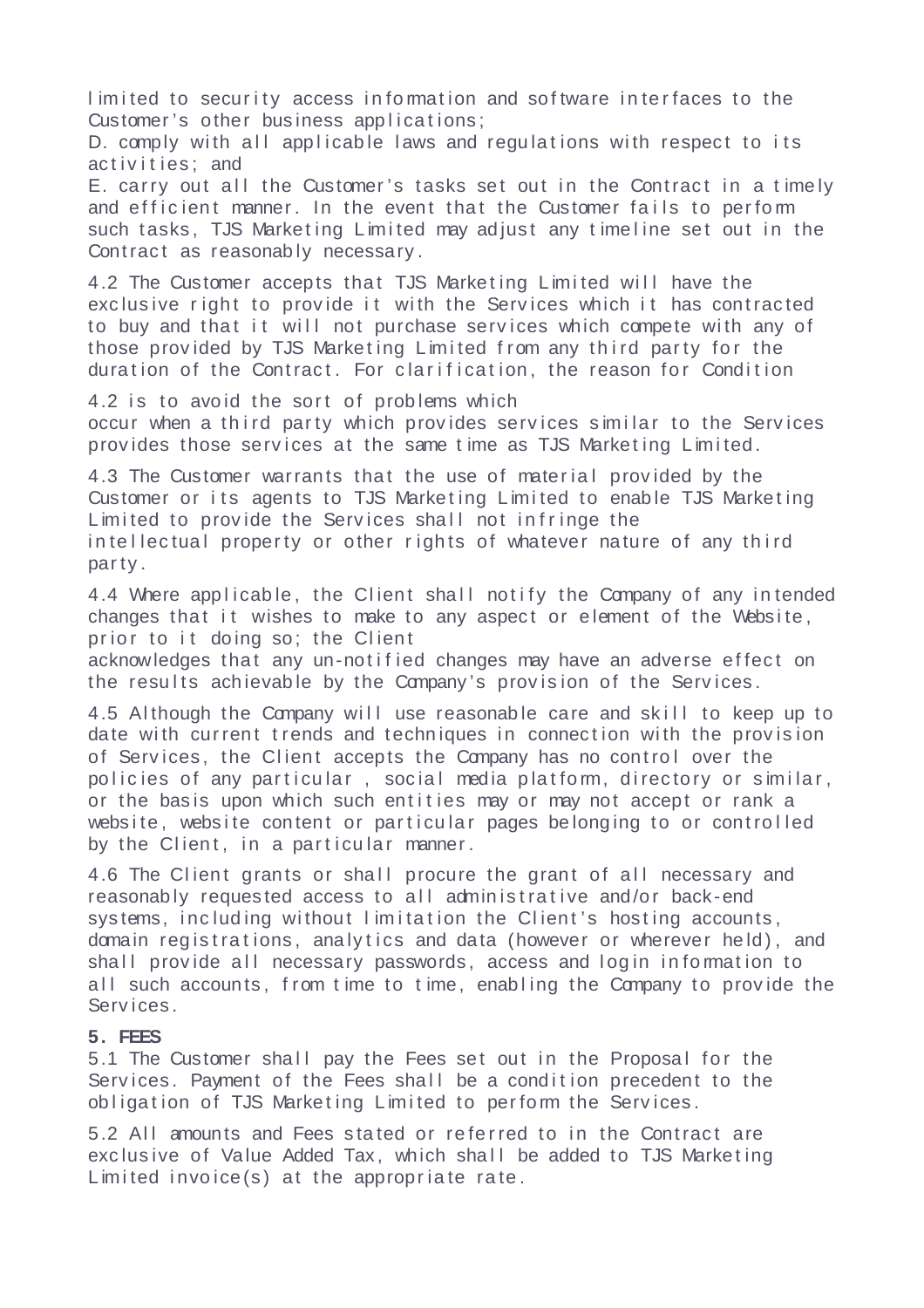limited to security access in formation and software interfaces to the Customer's other business applications;

D. comply with all applicable laws and regulations with respect to its activities: and

E. carry out all the Customer's tasks set out in the Contract in a timely and efficient manner. In the event that the Customer fails to perform such tasks, TJS Marketing Limited may adjust any timeline set out in the Contract as reasonably necessary.

4.2 The Customer accepts that TJS Marketing Limited will have the exclusive right to provide it with the Services which it has contracted to buy and that it will not purchase services which compete with any of those provided by TJS Marketing Limited from any third party for the duration of the Contract. For clarification, the reason for Condition

4.2 is to avoid the sort of problems which occur when a third party which provides services similar to the Services provides those services at the same time as TJS Marketing Limited.

4.3 The Customer warrants that the use of material provided by the Customer or its agents to TJS Marketing Limited to enable TJS Marketing Limited to provide the Services shall not infringe the in tellectual property or other rights of whatever nature of any third par ty .

4.4 Where applicable, the Client shall notify the Company of any intended changes that it wishes to make to any aspect or element of the Website, prior to it doing so: the Client

acknowledges that any un-notified changes may have an adverse effect on the results achievable by the Company's provision of the Services.

4.5 Although the Company will use reasonable care and skill to keep up to date with current trends and techniques in connection with the provision of Services, the Client accepts the Company has no control over the policies of any particular, social media platform, directory or similar, or the basis upon which such entities may or may not accept or rank a website, website content or particular pages belonging to or controlled by the Client, in a particular manner.

4.6 The Client grants or shall procure the grant of all necessary and reasonably requested access to all administrative and/or back-end systems, including without limitation the Client's hosting accounts, domain registrations, analytics and data (however or wherever held), and shall provide all necessary passwords, access and login in formation to all such accounts, from time to time, enabling the Company to provide the Serv ices .

### **5. FEES**

5.1 The Customer shall pay the Fees set out in the Proposal for the Services. Payment of the Fees shall be a condition precedent to the obligation of TJS Marketing Limited to perform the Services.

5.2 All amounts and Fees stated or referred to in the Contract are exclusive of Value Added Tax, which shall be added to TJS Marketing  $L$  imited invoice(s) at the appropriate rate.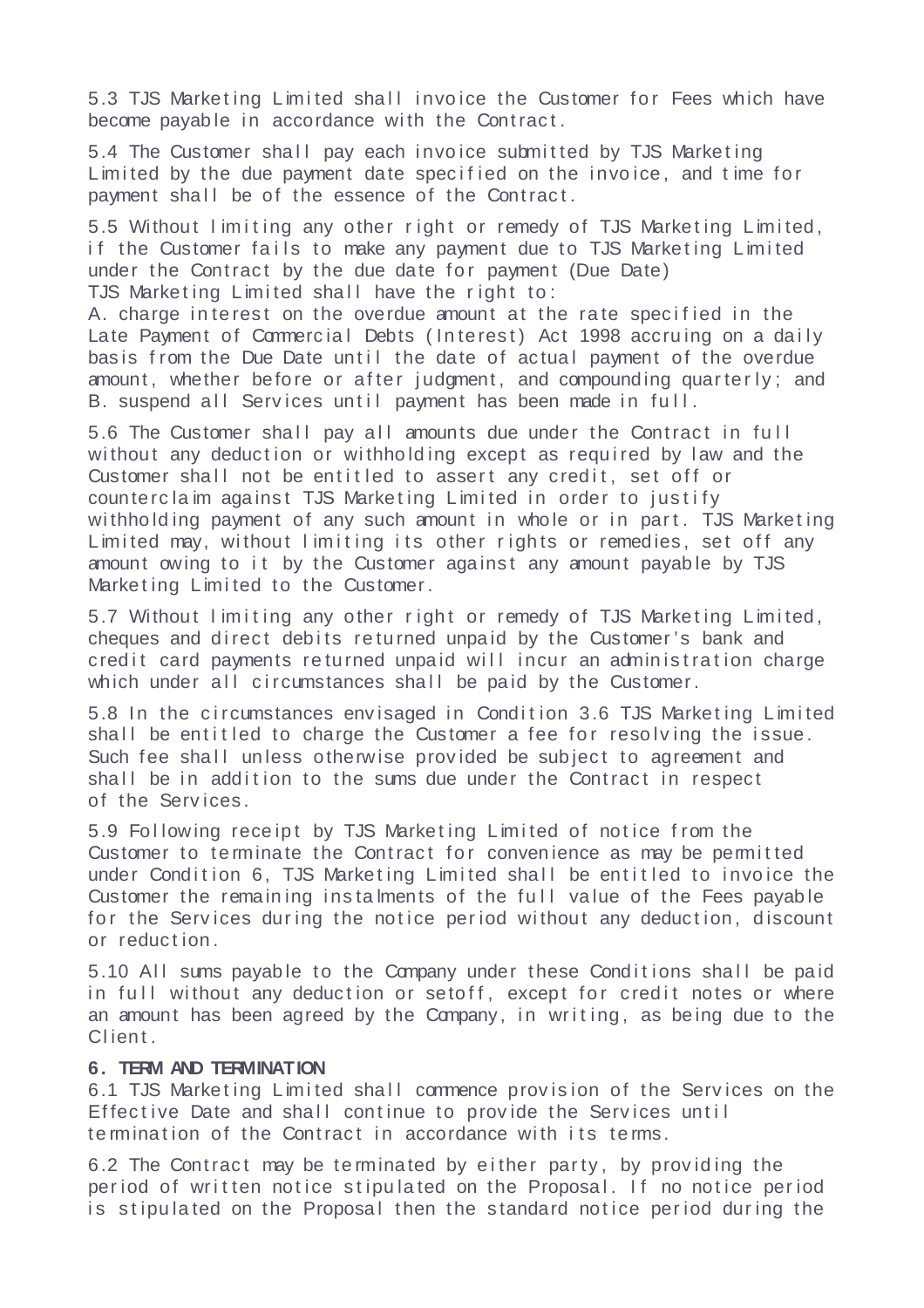5.3 TJS Marketing Limited shall invoice the Customer for Fees which have become payable in accordance with the Contract.

5.4 The Customer shall pay each invoice submitted by TJS Marketing Limited by the due payment date specified on the invoice, and time for payment shall be of the essence of the Contract.

5.5 Without limiting any other right or remedy of TJS Marketing Limited, if the Customer fails to make any payment due to TJS Marketing Limited under the Contract by the due date for payment (Due Date) TJS Marketing Limited shall have the right to:

A. charge interest on the overdue amount at the rate specified in the Late Payment of Commercial Debts (Interest) Act 1998 accruing on a daily basis from the Due Date until the date of actual payment of the overdue amount, whether before or after judgment, and compounding quarterly; and B. suspend all Services until payment has been made in full.

5.6 The Customer shall pay all amounts due under the Contract in full without any deduction or withholding except as required by law and the Customer shall not be entitled to assert any credit, set off or counterclaim against TJS Marketing Limited in order to justify withholding payment of any such amount in whole or in part. TJS Marketing Limited may, without limiting its other rights or remedies, set off any amount owing to it by the Customer against any amount payable by TJS Marketing Limited to the Customer.

5.7 Without limiting any other right or remedy of TJS Marketing Limited, cheques and direct debits returned unpaid by the Customer's bank and cred it card payments returned unpaid will incur an administration charge which under all circumstances shall be paid by the Customer.

5.8 In the circumstances envisaged in Condition 3.6 TJS Marketing Limited shall be entitled to charge the Customer a fee for resolving the issue. Such fee shall unless otherwise provided be subject to agreement and shall be in addition to the sums due under the Contract in respect of the Serv ices .

5.9 Following receipt by TJS Marketing Limited of notice from the Customer to terminate the Contract for convenience as may be permitted under Condition 6, TJS Marketing Limited shall be entitled to invoice the Customer the remaining instalments of the full value of the Fees payable for the Services during the notice period without any deduction, discount or reduction.

5.10 All sums payable to the Company under these Conditions shall be paid in full without any deduction or setoff, except for credit notes or where an amount has been agreed by the Company, in writing, as being due to the Client.

### **6. TERM AND TERMINATION**

6.1 TJS Marketing Limited shall commence provision of the Services on the Effective Date and shall continue to provide the Services until te rmination of the Contract in accordance with its terms.

6.2 The Contract may be terminated by either party, by providing the period of written notice stipulated on the Proposal. If no notice period is stipulated on the Proposal then the standard notice period during the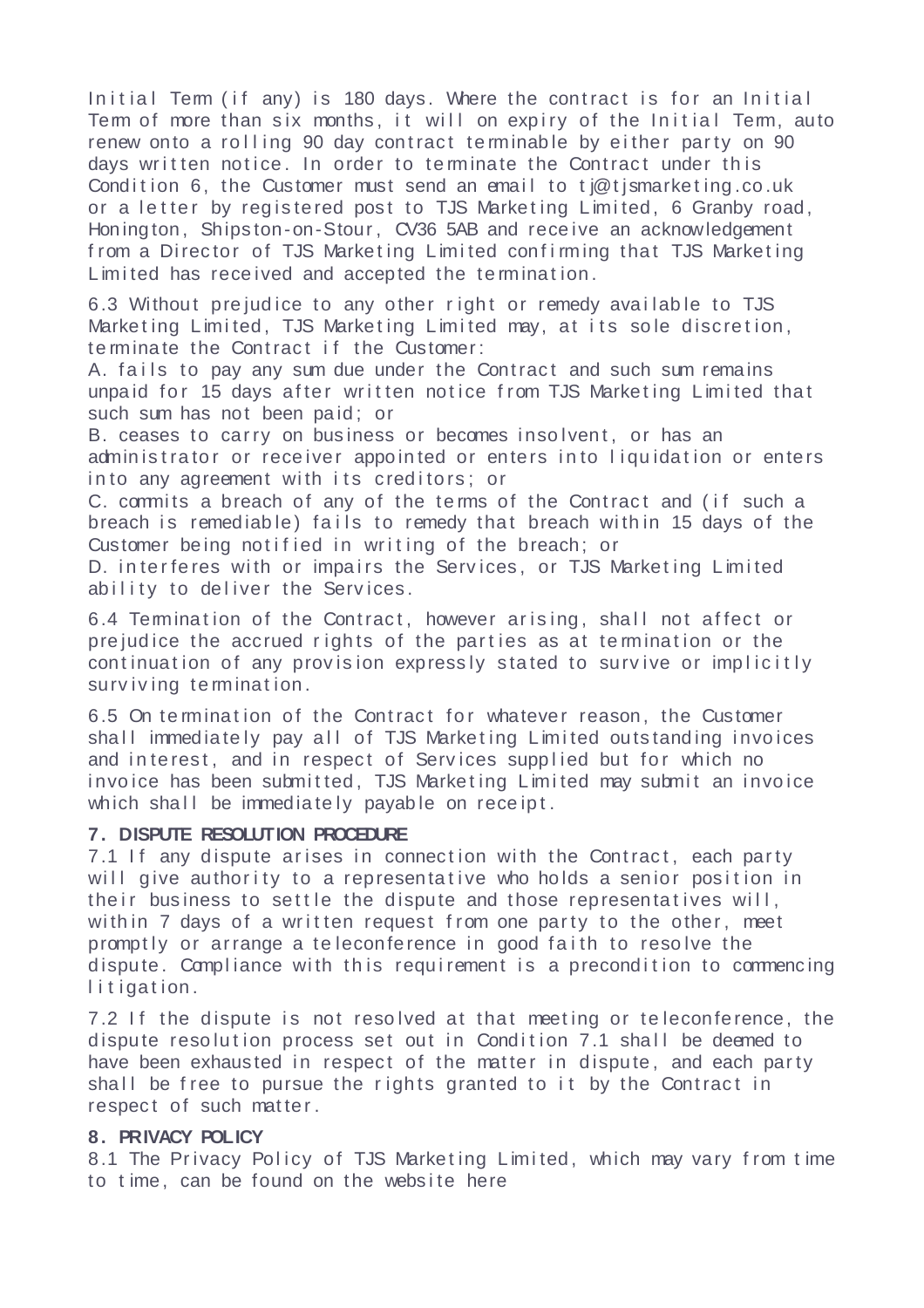Initial Term (if any) is 180 days. Where the contract is for an Initial Term of more than six months, it will on expiry of the Initial Term, auto renew onto a rolling 90 day contract terminable by either party on 90 days written notice. In order to terminate the Contract under this Condition 6, the Customer must send an email to ti $@$ tismarke ting, co, uk or a letter by registered post to TJS Marketing Limited, 6 Granby road, Honing ton, Shipston-on-Stour, CV36 5AB and receive an acknowledgement from a Director of TJS Marketing Limited confirming that TJS Marketing Limited has received and accepted the termination.

6.3 Without prejudice to any other right or remedy available to TJS Marketing Limited, TJS Marketing Limited may, at its sole discretion, te rminate the Contract if the Customer:

A. fails to pay any sum due under the Contract and such sum remains unpaid for 15 days after written notice from TJS Marketing Limited that such sum has not been paid; or

B. ceases to carry on business or becomes insolvent. or has an administrator or receiver appointed or enters into liquidation or enters in to any agreement with its creditors; or

C. commits a breach of any of the terms of the Contract and (if such a breach is remediable) fails to remedy that breach within 15 days of the Customer being notified in writing of the breach; or

D. interferes with or impairs the Services, or TJS Marketing Limited ability to deliver the Services.

6.4 Termination of the Contract, however arising, shall not affect or prejudice the accrued rights of the parties as at termination or the continuation of any provision expressly stated to survive or implicitly surviving termination.

6.5 On termination of the Contract for whatever reason, the Customer shall immediately pay all of TJS Marketing Limited outstanding invoices and interest, and in respect of Services supplied but for which no invoice has been submitted, TJS Marketing Limited may submit an invoice which shall be immediately payable on receipt.

### **7. DISPUTE RESOLUTION PROCEDURE**

7.1 If any dispute arises in connection with the Contract, each party will give authority to a representative who holds a senior position in the ir business to settle the dispute and those representatives will, with in 7 days of a written request from one party to the other, meet promptly or arrange a teleconference in good faith to resolve the dispute. Compliance with this requirement is a precondition to commencing litigation.

7.2 If the dispute is not resolved at that meeting or teleconference, the dispute resolution process set out in Condition 7.1 shall be deemed to have been exhausted in respect of the matter in dispute, and each party shall be free to pursue the rights granted to it by the Contract in respect of such matter.

# **8. PRIVACY POLICY**

8.1 The Privacy Policy of TJS Marketing Limited, which may vary from time to time, can be found on the website here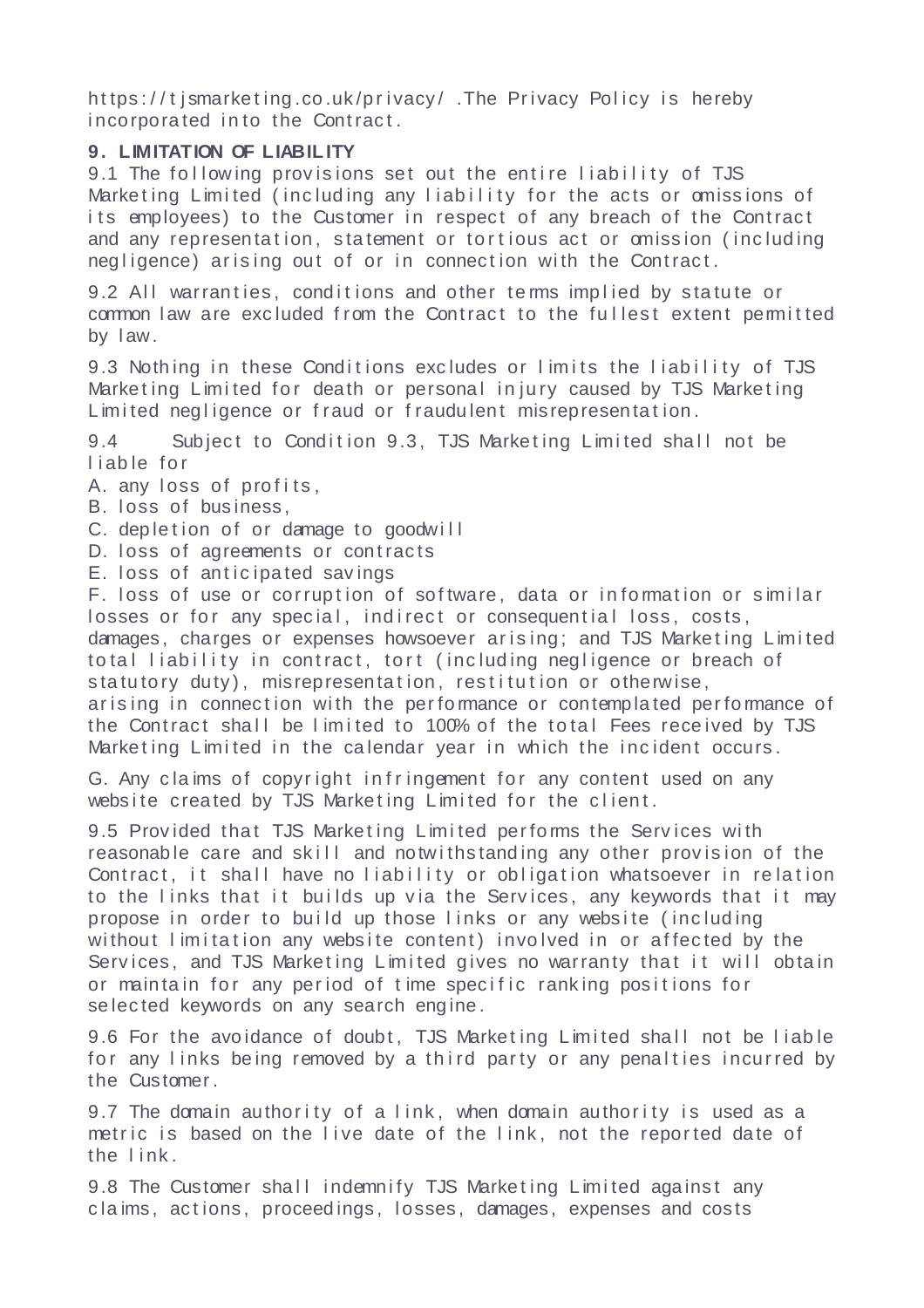https://tismarketing.co.uk/privacy/.The Privacy Policy is hereby incorporated into the Contract.

# **9. LIMITATION OF LIABIL ITY**

9.1 The following provisions set out the entire liability of TJS Marketing Limited (including any liability for the acts or omissions of its employees) to the Customer in respect of any breach of the Contract and any representation, statement or tortious act or omission (including negligence) arising out of or in connection with the Contract.

9.2 All warranties, conditions and other terms implied by statute or common law are excluded from the Contract to the fullest extent permitted by l aw.

9.3 Nothing in these Conditions excludes or limits the liability of TJS Marketing Limited for death or personal injury caused by TJS Marketing Limited negligence or fraud or fraudulent misrepresentation.

9.4 Subject to Condition 9.3, TJS Marketing Limited shall not be liable for

A. any loss of profits.

B. loss of business,

C. depletion of or damage to goodwill

D. loss of agreements or contracts

E. loss of anticipated savings

F. loss of use or corruption of software, data or information or similar losses or for any special, indirect or consequential loss, costs, damages, charges or expenses howsoever arising: and TJS Marketing Limited to tal liability in contract, tort (including negligence or breach of statutory duty), misrepresentation, restitution or otherwise, arising in connection with the performance or contemplated performance of the Contract shall be limited to 100% of the total Fees received by TJS Marketing Limited in the calendar year in which the incident occurs.

G. Any claims of copyright infringement for any content used on any website created by TJS Marketing Limited for the client.

9.5 Provided that TJS Marketing Limited performs the Services with reasonable care and skill and notwithstanding any other provision of the Contract, it shall have no liability or obligation whatsoever in relation to the links that it builds up via the Services, any keywords that it may propose in order to build up those links or any website (including without limitation any website content) involved in or affected by the Services, and TJS Marketing Limited gives no warranty that it will obtain or maintain for any period of time specific ranking positions for se lected keywords on any search engine.

9.6 For the avoidance of doubt, TJS Marketing Limited shall not be liable for any links being removed by a third party or any penalties incurred by the Customer .

9.7 The domain authority of a link, when domain authority is used as a metric is based on the live date of the link, not the reported date of the link.

9.8 The Customer shall indemnify TJS Marketing Limited against any claims, actions, proceedings, losses, damages, expenses and costs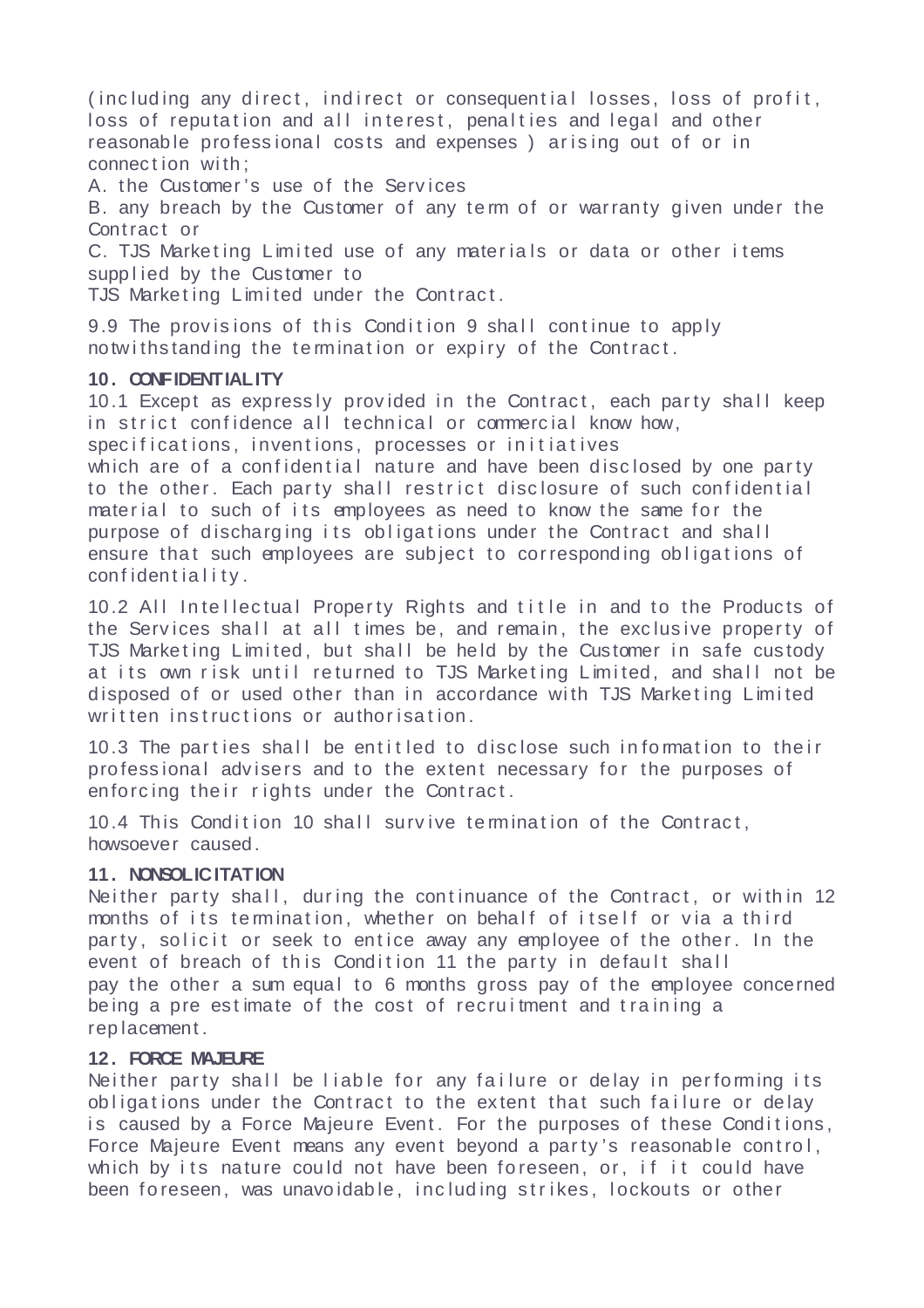(including any direct, indirect or consequential losses, loss of profit, loss of reputation and all interest, penalties and legal and other reasonable professional costs and expenses) arising out of or in connection with:

A. the Customer 's use of the Serv ices

B. any breach by the Customer of any term of or warranty given under the Contract or

C. TJS Marketing Limited use of any materials or data or other items supplied by the Customer to

TJS Marketing Limited under the Contract.

9.9 The provisions of this Condition 9 shall continue to apply notwithstanding the termination or expiry of the Contract.

### **10. CONFIDENTIALITY**

10.1 Except as expressly provided in the Contract, each party shall keep in strict confidence all technical or commercial know how, specifications, inventions, processes or initiatives

which are of a confidential nature and have been disclosed by one party to the other. Each party shall restrict disclosure of such confidential material to such of its employees as need to know the same for the purpose of discharging its obligations under the Contract and shall ensure that such employees are subject to corresponding obligations of confidentiality.

10.2 All Intellectual Property Rights and title in and to the Products of the Services shall at all times be, and remain, the exclusive property of TJS Marketing Limited, but shall be held by the Customer in safe custody at its own risk until returned to TJS Marketing Limited, and shall not be disposed of or used other than in accordance with TJS Marketing Limited written instructions or authorisation.

10.3 The parties shall be entitled to disclose such information to their professional advisers and to the extent necessary for the purposes of enforcing their rights under the Contract.

10.4 This Condition 10 shall survive termination of the Contract, howsoever caused.

# **11. NONSOLICITATION**

Neither party shall, during the continuance of the Contract, or within 12 months of its termination, whether on behalf of itself or via a third party, solicit or seek to entice away any employee of the other. In the event of breach of this Condition 11 the party in default shall pay the other a sum equal to 6 months gross pay of the employee concerned being a pre estimate of the cost of recruitment and training a rep lacement .

#### **12. FORCE MAJEURE**

Neither party shall be liable for any failure or delay in performing its obligations under the Contract to the extent that such failure or delay is caused by a Force Majeure Event. For the purposes of these Conditions, Force Majeure Event means any event beyond a party's reasonable control, which by its nature could not have been foreseen, or, if it could have been foreseen, was unavoidable, including strikes, lockouts or other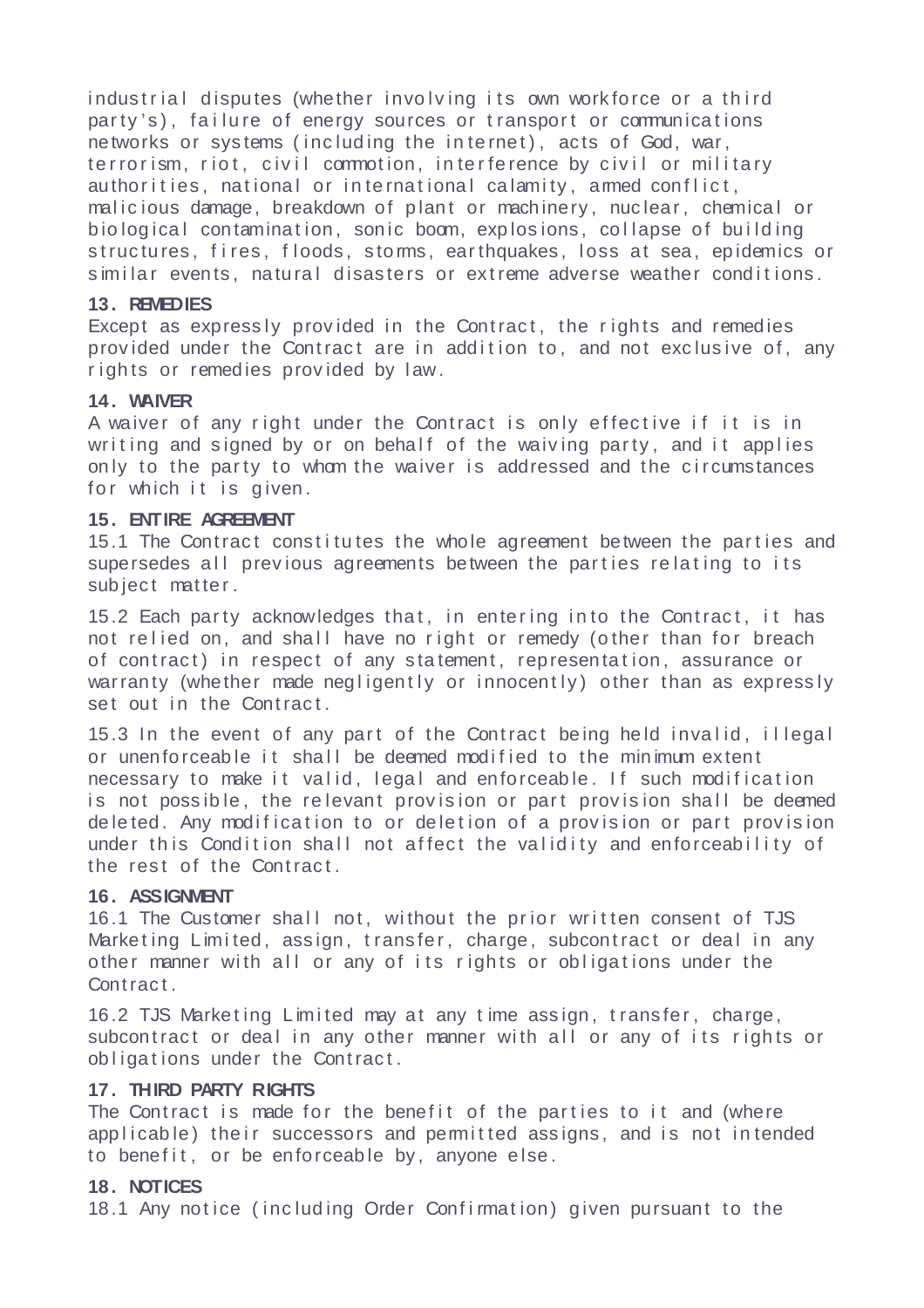industrial disputes (whether involving its own workforce or a third party's), failure of energy sources or transport or communications networks or systems (including the internet), acts of God, war, terrorism, riot, civil commotion, interference by civil or military authorities, national or international calamity, armed conflict, malicious damage, breakdown of plant or machinery, nuclear, chemical or biological contamination, sonic boom, explosions, collapse of building structures, fires, floods, stoms, earthquakes, loss at sea, epidemics or similar events, natural disasters or extreme adverse weather conditions.

# **13. REMEDIES**

Except as expressly provided in the Contract, the rights and remedies provided under the Contract are in addition to, and not exclusive of, any rights or remedies provided by law.

# **14. WAIVER**

A waiver of any right under the Contract is only effective if it is in writing and signed by or on behalf of the waiving party, and it applies only to the party to whom the waiver is addressed and the circumstances for which it is given.

# **15. ENTIRE AGREEMENT**

15.1 The Contract constitutes the whole agreement between the parties and supersedes all previous agreements between the parties relating to its subject matter.

15.2 Each party acknowledges that, in entering into the Contract, it has not relied on, and shall have no right or remedy (other than for breach of contract) in respect of any statement, representation, assurance or warranty (whether made negligently or innocently) other than as expressly set out in the Contract.

15.3 In the event of any part of the Contract being held invalid, illegal or unenforceable it shall be deemed modified to the minimum extent necessary to make it valid, legal and enforceable. If such modification is not possible, the relevant provision or part provision shall be deemed de leted. Any modification to or deletion of a provision or part provision under this Condition shall not affect the validity and enforceability of the rest of the Contract.

# 16. ASSIGNMENT

16.1 The Customer shall not, without the prior written consent of TJS Marketing Limited, assign, transfer, charge, subcontract or deal in any other manner with all or any of its rights or obligations under the Contract.

16.2 TJS Marketing Limited may at any time assign, transfer, charge, subcontract or deal in any other manner with all or any of its rights or obligations under the Contract.

### **17. THIRD PARTY RIGHTS**

The Contract is made for the benefit of the parties to it and (where applicable) their successors and permitted assigns, and is not intended to benefit, or be enforceable by, anyone else.

### **18. NOTICES**

18.1 Any notice (including Order Confirmation) given pursuant to the